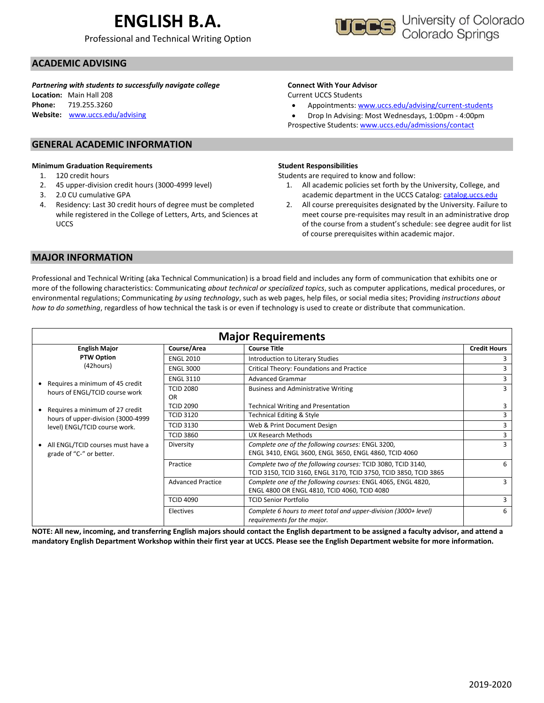# **ENGLISH B.A.**

Professional and Technical Writing Option



### **ACADEMIC ADVISING**

*Partnering with students to successfully navigate college*

**Location:** Main Hall 208 **Phone:** 719.255.3260 **Website:** [www.uccs.edu/advising](http://www.uccs.edu/advising)

#### **GENERAL ACADEMIC INFORMATION**

#### **Minimum Graduation Requirements**

- 1. 120 credit hours
- 2. 45 upper-division credit hours (3000-4999 level)
- 3. 2.0 CU cumulative GPA
- 4. Residency: Last 30 credit hours of degree must be completed while registered in the College of Letters, Arts, and Sciences at UCCS

#### **Connect With Your Advisor**

Current UCCS Students

• Appointments: [www.uccs.edu/advising/current-students](http://www.uccs.edu/advising/current-students)

• Drop In Advising: Most Wednesdays, 1:00pm - 4:00pm Prospective Students: [www.uccs.edu/admissions/contact](http://www.uccs.edu/admissions/contact)

#### **Student Responsibilities**

Students are required to know and follow:

- 1. All academic policies set forth by the University, College, and academic department in the UCCS Catalog[: catalog.uccs.edu](file://///columbia/dept/Success/Advising%20Guides/197%20Advising%20Guides/catalog.uccs.edu)
- 2. All course prerequisites designated by the University. Failure to meet course pre-requisites may result in an administrative drop of the course from a student's schedule: see degree audit for list of course prerequisites within academic major.

#### **MAJOR INFORMATION**

Professional and Technical Writing (aka Technical Communication) is a broad field and includes any form of communication that exhibits one or more of the following characteristics: Communicating *about technical or specialized topics*, such as computer applications, medical procedures, or environmental regulations; Communicating *by using technology*, such as web pages, help files, or social media sites; Providing *instructions about how to do something*, regardless of how technical the task is or even if technology is used to create or distribute that communication.

| <b>Major Requirements</b>                                          |                                                          |                                                                                                                                  |        |  |  |  |  |
|--------------------------------------------------------------------|----------------------------------------------------------|----------------------------------------------------------------------------------------------------------------------------------|--------|--|--|--|--|
| <b>English Major</b>                                               | Course/Area                                              | <b>Credit Hours</b><br><b>Course Title</b>                                                                                       |        |  |  |  |  |
| <b>PTW Option</b>                                                  | <b>ENGL 2010</b>                                         | Introduction to Literary Studies                                                                                                 |        |  |  |  |  |
| (42hours)                                                          | <b>ENGL 3000</b>                                         | Critical Theory: Foundations and Practice                                                                                        |        |  |  |  |  |
|                                                                    | <b>ENGL 3110</b>                                         | <b>Advanced Grammar</b>                                                                                                          |        |  |  |  |  |
| Requires a minimum of 45 credit<br>hours of ENGL/TCID course work  | <b>TCID 2080</b><br>OR.                                  | <b>Business and Administrative Writing</b>                                                                                       | 3<br>3 |  |  |  |  |
| Requires a minimum of 27 credit                                    | <b>TCID 2090</b>                                         | <b>Technical Writing and Presentation</b>                                                                                        |        |  |  |  |  |
| hours of upper-division (3000-4999                                 | <b>Technical Editing &amp; Style</b><br><b>TCID 3120</b> |                                                                                                                                  | 3      |  |  |  |  |
| level) ENGL/TCID course work.                                      | <b>TCID 3130</b>                                         | Web & Print Document Design                                                                                                      |        |  |  |  |  |
|                                                                    | <b>TCID 3860</b>                                         | UX Research Methods                                                                                                              | 3      |  |  |  |  |
| All ENGL/TCID courses must have a<br>٠<br>grade of "C-" or better. | Diversity                                                | Complete one of the following courses: ENGL 3200,<br>ENGL 3410, ENGL 3600, ENGL 3650, ENGL 4860, TCID 4060                       | 3      |  |  |  |  |
|                                                                    | Practice                                                 | Complete two of the following courses: TCID 3080, TCID 3140,<br>TCID 3150, TCID 3160, ENGL 3170, TCID 3750, TCID 3850, TCID 3865 | 6      |  |  |  |  |
|                                                                    | <b>Advanced Practice</b>                                 | Complete one of the following courses: ENGL 4065, ENGL 4820,<br>ENGL 4800 OR ENGL 4810, TCID 4060, TCID 4080                     | 3      |  |  |  |  |
|                                                                    | <b>TCID 4090</b>                                         | <b>TCID Senior Portfolio</b>                                                                                                     | 3      |  |  |  |  |
|                                                                    | Electives                                                | Complete 6 hours to meet total and upper-division (3000+ level)<br>requirements for the major.                                   | 6      |  |  |  |  |

**NOTE: All new, incoming, and transferring English majors should contact the English department to be assigned a faculty advisor, and attend a mandatory English Department Workshop within their first year at UCCS. Please see the English Department website for more information.**